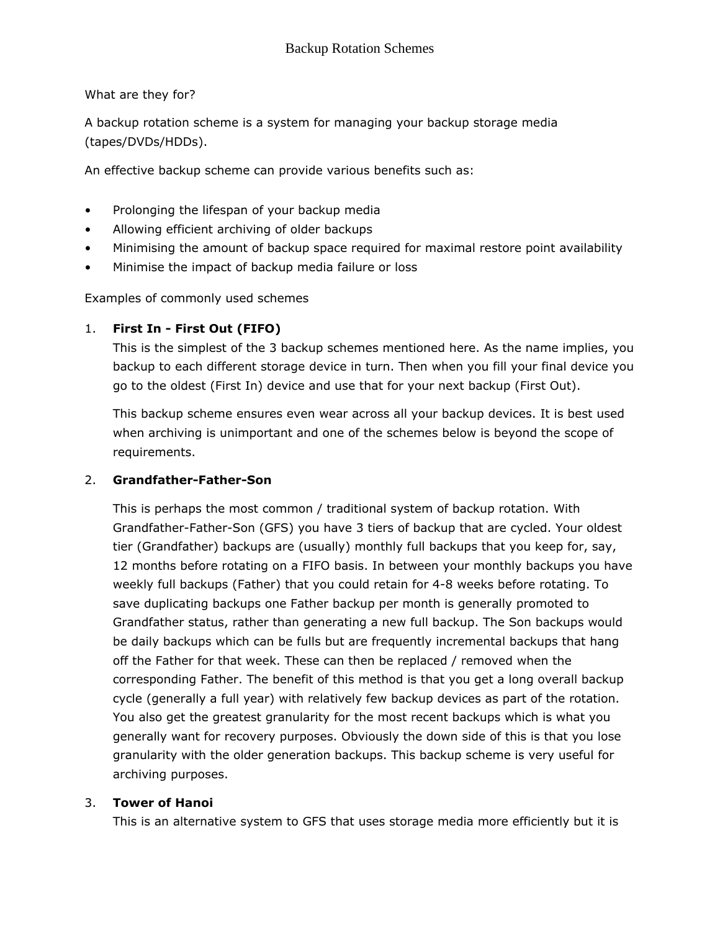What are they for?

A backup rotation scheme is a system for managing your backup storage media (tapes/DVDs/HDDs).

An effective backup scheme can provide various benefits such as:

- Prolonging the lifespan of your backup media
- Allowing efficient archiving of older backups
- Minimising the amount of backup space required for maximal restore point availability
- Minimise the impact of backup media failure or loss

Examples of commonly used schemes

## 1. First In - First Out (FIFO)

This is the simplest of the 3 backup schemes mentioned here. As the name implies, you backup to each different storage device in turn. Then when you fill your final device you go to the oldest (First In) device and use that for your next backup (First Out).

This backup scheme ensures even wear across all your backup devices. It is best used when archiving is unimportant and one of the schemes below is beyond the scope of requirements.

## 2. Grandfather-Father-Son

This is perhaps the most common / traditional system of backup rotation. With Grandfather-Father-Son (GFS) you have 3 tiers of backup that are cycled. Your oldest tier (Grandfather) backups are (usually) monthly full backups that you keep for, say, 12 months before rotating on a FIFO basis. In between your monthly backups you have weekly full backups (Father) that you could retain for 4-8 weeks before rotating. To save duplicating backups one Father backup per month is generally promoted to Grandfather status, rather than generating a new full backup. The Son backups would be daily backups which can be fulls but are frequently incremental backups that hang off the Father for that week. These can then be replaced / removed when the corresponding Father. The benefit of this method is that you get a long overall backup cycle (generally a full year) with relatively few backup devices as part of the rotation. You also get the greatest granularity for the most recent backups which is what you generally want for recovery purposes. Obviously the down side of this is that you lose granularity with the older generation backups. This backup scheme is very useful for archiving purposes.

## 3. Tower of Hanoi

This is an alternative system to GFS that uses storage media more efficiently but it is